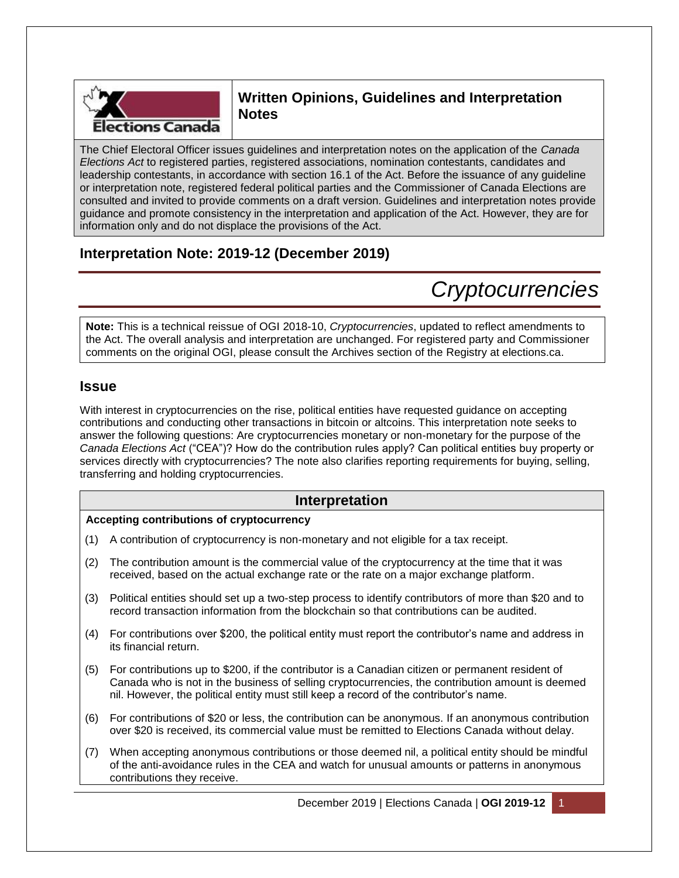

# **Written Opinions, Guidelines and Interpretation Notes**

The Chief Electoral Officer issues guidelines and interpretation notes on the application of the *Canada Elections Act* to registered parties, registered associations, nomination contestants, candidates and leadership contestants, in accordance with section 16.1 of the Act. Before the issuance of any guideline or interpretation note, registered federal political parties and the Commissioner of Canada Elections are consulted and invited to provide comments on a draft version. Guidelines and interpretation notes provide guidance and promote consistency in the interpretation and application of the Act. However, they are for information only and do not displace the provisions of the Act.

# **Interpretation Note: 2019-12 (December 2019)**

# *Cryptocurrencies*

**Note:** This is a technical reissue of OGI 2018-10, *Cryptocurrencies*, updated to reflect amendments to the Act. The overall analysis and interpretation are unchanged. For registered party and Commissioner comments on the original OGI, please consult the Archives section of the Registry at elections.ca.

## **Issue**

With interest in cryptocurrencies on the rise, political entities have requested guidance on accepting contributions and conducting other transactions in bitcoin or altcoins. This interpretation note seeks to answer the following questions: Are cryptocurrencies monetary or non-monetary for the purpose of the *Canada Elections Act* ("CEA")? How do the contribution rules apply? Can political entities buy property or services directly with cryptocurrencies? The note also clarifies reporting requirements for buying, selling, transferring and holding cryptocurrencies.

# **Interpretation**

## **Accepting contributions of cryptocurrency**

- (1) A contribution of cryptocurrency is non-monetary and not eligible for a tax receipt.
- (2) The contribution amount is the commercial value of the cryptocurrency at the time that it was received, based on the actual exchange rate or the rate on a major exchange platform.
- (3) Political entities should set up a two-step process to identify contributors of more than \$20 and to record transaction information from the blockchain so that contributions can be audited.
- (4) For contributions over \$200, the political entity must report the contributor's name and address in its financial return.
- (5) For contributions up to \$200, if the contributor is a Canadian citizen or permanent resident of Canada who is not in the business of selling cryptocurrencies, the contribution amount is deemed nil. However, the political entity must still keep a record of the contributor's name.
- (6) For contributions of \$20 or less, the contribution can be anonymous. If an anonymous contribution over \$20 is received, its commercial value must be remitted to Elections Canada without delay.
- (7) When accepting anonymous contributions or those deemed nil, a political entity should be mindful of the anti-avoidance rules in the CEA and watch for unusual amounts or patterns in anonymous contributions they receive.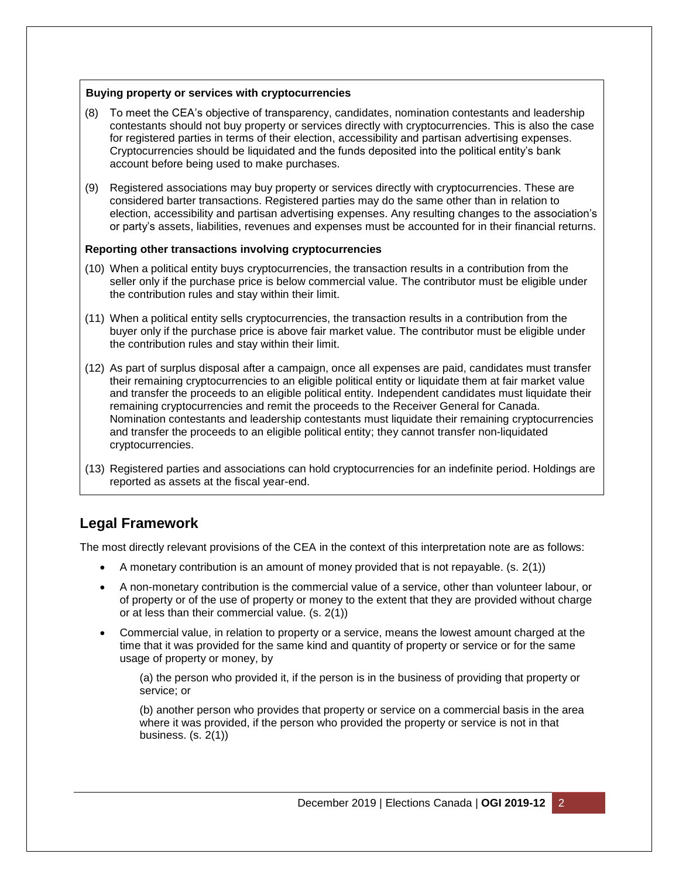## **Buying property or services with cryptocurrencies**

- (8) To meet the CEA's objective of transparency, candidates, nomination contestants and leadership contestants should not buy property or services directly with cryptocurrencies. This is also the case for registered parties in terms of their election, accessibility and partisan advertising expenses. Cryptocurrencies should be liquidated and the funds deposited into the political entity's bank account before being used to make purchases.
- (9) Registered associations may buy property or services directly with cryptocurrencies. These are considered barter transactions. Registered parties may do the same other than in relation to election, accessibility and partisan advertising expenses. Any resulting changes to the association's or party's assets, liabilities, revenues and expenses must be accounted for in their financial returns.

## **Reporting other transactions involving cryptocurrencies**

- (10) When a political entity buys cryptocurrencies, the transaction results in a contribution from the seller only if the purchase price is below commercial value. The contributor must be eligible under the contribution rules and stay within their limit.
- (11) When a political entity sells cryptocurrencies, the transaction results in a contribution from the buyer only if the purchase price is above fair market value. The contributor must be eligible under the contribution rules and stay within their limit.
- (12) As part of surplus disposal after a campaign, once all expenses are paid, candidates must transfer their remaining cryptocurrencies to an eligible political entity or liquidate them at fair market value and transfer the proceeds to an eligible political entity. Independent candidates must liquidate their remaining cryptocurrencies and remit the proceeds to the Receiver General for Canada. Nomination contestants and leadership contestants must liquidate their remaining cryptocurrencies and transfer the proceeds to an eligible political entity; they cannot transfer non-liquidated cryptocurrencies.
- (13) Registered parties and associations can hold cryptocurrencies for an indefinite period. Holdings are reported as assets at the fiscal year-end.

# **Legal Framework**

The most directly relevant provisions of the CEA in the context of this interpretation note are as follows:

- $\bullet$  A monetary contribution is an amount of money provided that is not repayable. (s. 2(1))
- A non-monetary contribution is the commercial value of a service, other than volunteer labour, or of property or of the use of property or money to the extent that they are provided without charge or at less than their commercial value. (s. 2(1))
- Commercial value, in relation to property or a service, means the lowest amount charged at the time that it was provided for the same kind and quantity of property or service or for the same usage of property or money, by

(a) the person who provided it, if the person is in the business of providing that property or service; or

(b) another person who provides that property or service on a commercial basis in the area where it was provided, if the person who provided the property or service is not in that business. (s. 2(1))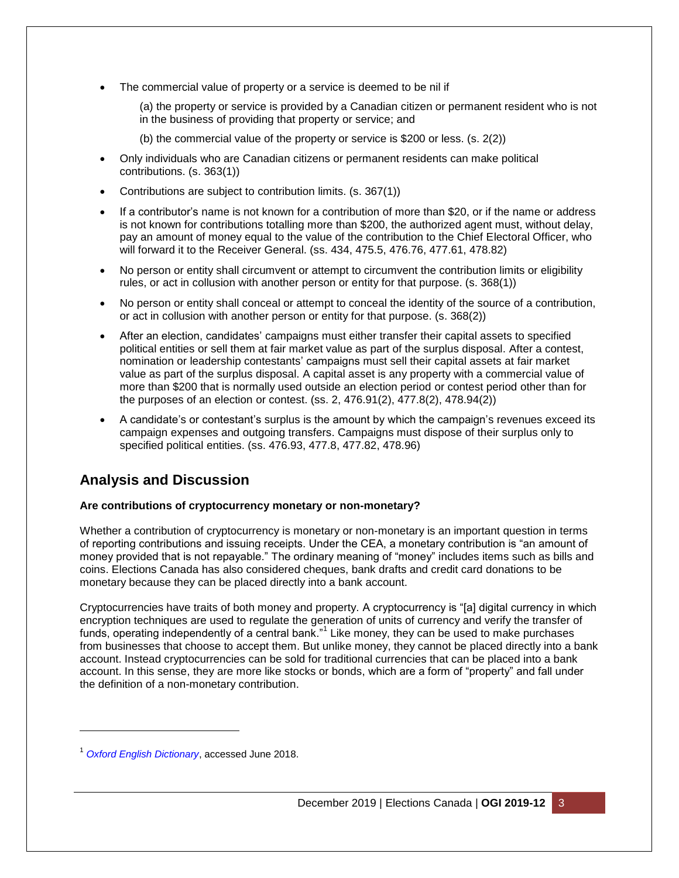The commercial value of property or a service is deemed to be nil if

(a) the property or service is provided by a Canadian citizen or permanent resident who is not in the business of providing that property or service; and

- (b) the commercial value of the property or service is \$200 or less. (s. 2(2))
- Only individuals who are Canadian citizens or permanent residents can make political contributions. (s. 363(1))
- Contributions are subject to contribution limits. (s. 367(1))
- If a contributor's name is not known for a contribution of more than \$20, or if the name or address is not known for contributions totalling more than \$200, the authorized agent must, without delay, pay an amount of money equal to the value of the contribution to the Chief Electoral Officer, who will forward it to the Receiver General. (ss. 434, 475.5, 476.76, 477.61, 478.82)
- No person or entity shall circumvent or attempt to circumvent the contribution limits or eligibility rules, or act in collusion with another person or entity for that purpose. (s. 368(1))
- No person or entity shall conceal or attempt to conceal the identity of the source of a contribution, or act in collusion with another person or entity for that purpose. (s. 368(2))
- After an election, candidates' campaigns must either transfer their capital assets to specified political entities or sell them at fair market value as part of the surplus disposal. After a contest, nomination or leadership contestants' campaigns must sell their capital assets at fair market value as part of the surplus disposal. A capital asset is any property with a commercial value of more than \$200 that is normally used outside an election period or contest period other than for the purposes of an election or contest. (ss. 2, 476.91(2), 477.8(2), 478.94(2))
- A candidate's or contestant's surplus is the amount by which the campaign's revenues exceed its campaign expenses and outgoing transfers. Campaigns must dispose of their surplus only to specified political entities. (ss. 476.93, 477.8, 477.82, 478.96)

# **Analysis and Discussion**

## **Are contributions of cryptocurrency monetary or non-monetary?**

Whether a contribution of cryptocurrency is monetary or non-monetary is an important question in terms of reporting contributions and issuing receipts. Under the CEA, a monetary contribution is "an amount of money provided that is not repayable." The ordinary meaning of "money" includes items such as bills and coins. Elections Canada has also considered cheques, bank drafts and credit card donations to be monetary because they can be placed directly into a bank account.

Cryptocurrencies have traits of both money and property. A cryptocurrency is "[a] digital currency in which encryption techniques are used to regulate the generation of units of currency and verify the transfer of funds, operating independently of a central bank."<sup>1</sup> Like money, they can be used to make purchases from businesses that choose to accept them. But unlike money, they cannot be placed directly into a bank account. Instead cryptocurrencies can be sold for traditional currencies that can be placed into a bank account. In this sense, they are more like stocks or bonds, which are a form of "property" and fall under the definition of a non-monetary contribution.

l

<sup>1</sup> *[Oxford English Dictionary](https://en.oxforddictionaries.com/definition/cryptocurrency)*, accessed June 2018.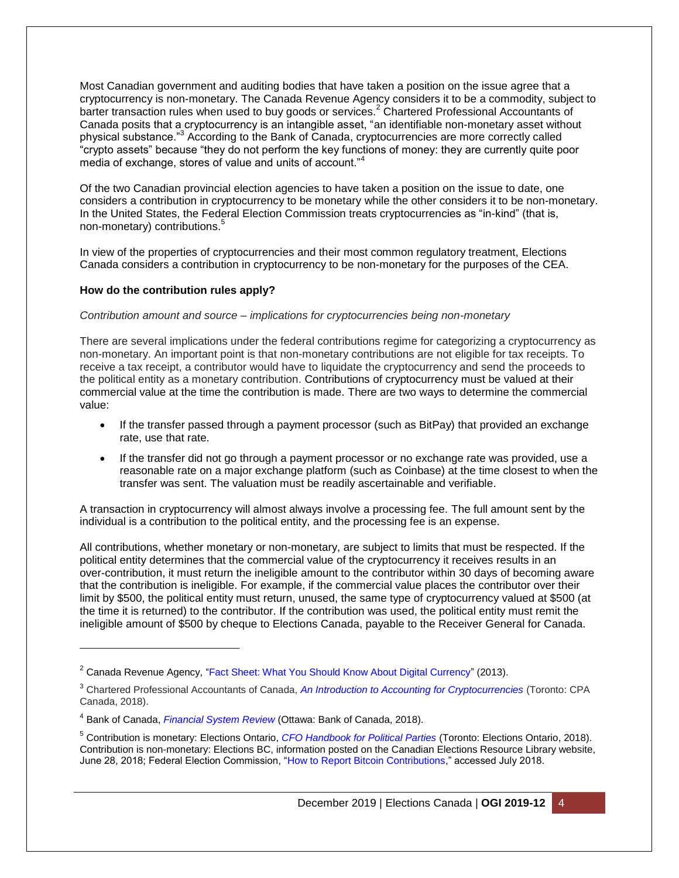Most Canadian government and auditing bodies that have taken a position on the issue agree that a cryptocurrency is non-monetary. The Canada Revenue Agency considers it to be a commodity, subject to barter transaction rules when used to buy goods or services.<sup>2</sup> Chartered Professional Accountants of Canada posits that a cryptocurrency is an intangible asset, "an identifiable non-monetary asset without physical substance."<sup>3</sup> According to the Bank of Canada, cryptocurrencies are more correctly called "crypto assets" because "they do not perform the key functions of money: they are currently quite poor media of exchange, stores of value and units of account."<sup>4</sup>

Of the two Canadian provincial election agencies to have taken a position on the issue to date, one considers a contribution in cryptocurrency to be monetary while the other considers it to be non-monetary. In the United States, the Federal Election Commission treats cryptocurrencies as "in-kind" (that is, non-monetary) contributions.<sup>5</sup>

In view of the properties of cryptocurrencies and their most common regulatory treatment, Elections Canada considers a contribution in cryptocurrency to be non-monetary for the purposes of the CEA.

## **How do the contribution rules apply?**

l

#### *Contribution amount and source – implications for cryptocurrencies being non-monetary*

There are several implications under the federal contributions regime for categorizing a cryptocurrency as non-monetary. An important point is that non-monetary contributions are not eligible for tax receipts. To receive a tax receipt, a contributor would have to liquidate the cryptocurrency and send the proceeds to the political entity as a monetary contribution. Contributions of cryptocurrency must be valued at their commercial value at the time the contribution is made. There are two ways to determine the commercial value:

- If the transfer passed through a payment processor (such as BitPay) that provided an exchange rate, use that rate.
- If the transfer did not go through a payment processor or no exchange rate was provided, use a reasonable rate on a major exchange platform (such as Coinbase) at the time closest to when the transfer was sent. The valuation must be readily ascertainable and verifiable.

A transaction in cryptocurrency will almost always involve a processing fee. The full amount sent by the individual is a contribution to the political entity, and the processing fee is an expense.

All contributions, whether monetary or non-monetary, are subject to limits that must be respected. If the political entity determines that the commercial value of the cryptocurrency it receives results in an over-contribution, it must return the ineligible amount to the contributor within 30 days of becoming aware that the contribution is ineligible. For example, if the commercial value places the contributor over their limit by \$500, the political entity must return, unused, the same type of cryptocurrency valued at \$500 (at the time it is returned) to the contributor. If the contribution was used, the political entity must remit the ineligible amount of \$500 by cheque to Elections Canada, payable to the Receiver General for Canada.

<sup>&</sup>lt;sup>2</sup> Canada Revenue Agency, ["Fact Sheet: What You Should Know About Digital Currency"](https://www.canada.ca/en/revenue-agency/news/newsroom/fact-sheets/fact-sheets-2013/what-you-should-know-about-digital-currency.html) (2013).

<sup>3</sup> Chartered Professional Accountants of Canada, *[An Introduction to Accounting for Cryptocurrencies](https://www.cpacanada.ca/en/business-and-accounting-resources/financial-and-non-financial-reporting/international-financial-reporting-standards-ifrs/publications/accounting-for-cryptocurrencies-under-ifrs)* (Toronto: CPA Canada, 2018).

<sup>4</sup> Bank of Canada, *[Financial System Review](https://www.bankofcanada.ca/wp-content/uploads/2018/06/fsr-june2018.pdf)* (Ottawa: Bank of Canada, 2018).

<sup>5</sup> Contribution is monetary: Elections Ontario, *[CFO Handbook for Political Parties](https://www.elections.on.ca/content/dam/NGW/sitecontent/Compliance%20Documentation/English/Political%20Parties/CFO%20Handbook%20for%20Political%20Parties.pdf)* (Toronto: Elections Ontario, 2018). Contribution is non-monetary: Elections BC, information posted on the Canadian Elections Resource Library website, June 28, 2018; Federal Election Commission, ["How to Report Bitcoin Contributions,](https://www.fec.gov/help-candidates-and-committees/filing-reports/bitcoin-contributions/)" accessed July 2018.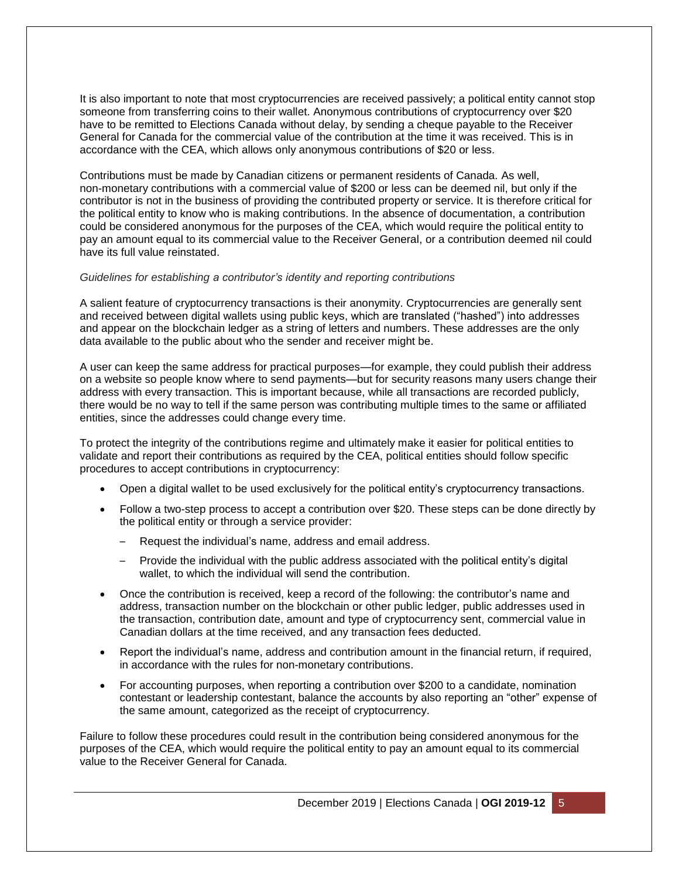It is also important to note that most cryptocurrencies are received passively; a political entity cannot stop someone from transferring coins to their wallet. Anonymous contributions of cryptocurrency over \$20 have to be remitted to Elections Canada without delay, by sending a cheque payable to the Receiver General for Canada for the commercial value of the contribution at the time it was received. This is in accordance with the CEA, which allows only anonymous contributions of \$20 or less.

Contributions must be made by Canadian citizens or permanent residents of Canada. As well, non-monetary contributions with a commercial value of \$200 or less can be deemed nil, but only if the contributor is not in the business of providing the contributed property or service. It is therefore critical for the political entity to know who is making contributions. In the absence of documentation, a contribution could be considered anonymous for the purposes of the CEA, which would require the political entity to pay an amount equal to its commercial value to the Receiver General, or a contribution deemed nil could have its full value reinstated.

#### *Guidelines for establishing a contributor's identity and reporting contributions*

A salient feature of cryptocurrency transactions is their anonymity. Cryptocurrencies are generally sent and received between digital wallets using public keys, which are translated ("hashed") into addresses and appear on the blockchain ledger as a string of letters and numbers. These addresses are the only data available to the public about who the sender and receiver might be.

A user can keep the same address for practical purposes—for example, they could publish their address on a website so people know where to send payments—but for security reasons many users change their address with every transaction. This is important because, while all transactions are recorded publicly, there would be no way to tell if the same person was contributing multiple times to the same or affiliated entities, since the addresses could change every time.

To protect the integrity of the contributions regime and ultimately make it easier for political entities to validate and report their contributions as required by the CEA, political entities should follow specific procedures to accept contributions in cryptocurrency:

- Open a digital wallet to be used exclusively for the political entity's cryptocurrency transactions.
- Follow a two-step process to accept a contribution over \$20. These steps can be done directly by the political entity or through a service provider:
	- Request the individual's name, address and email address.
	- Provide the individual with the public address associated with the political entity's digital wallet, to which the individual will send the contribution.
- Once the contribution is received, keep a record of the following: the contributor's name and address, transaction number on the blockchain or other public ledger, public addresses used in the transaction, contribution date, amount and type of cryptocurrency sent, commercial value in Canadian dollars at the time received, and any transaction fees deducted.
- Report the individual's name, address and contribution amount in the financial return, if required, in accordance with the rules for non-monetary contributions.
- For accounting purposes, when reporting a contribution over \$200 to a candidate, nomination contestant or leadership contestant, balance the accounts by also reporting an "other" expense of the same amount, categorized as the receipt of cryptocurrency.

Failure to follow these procedures could result in the contribution being considered anonymous for the purposes of the CEA, which would require the political entity to pay an amount equal to its commercial value to the Receiver General for Canada.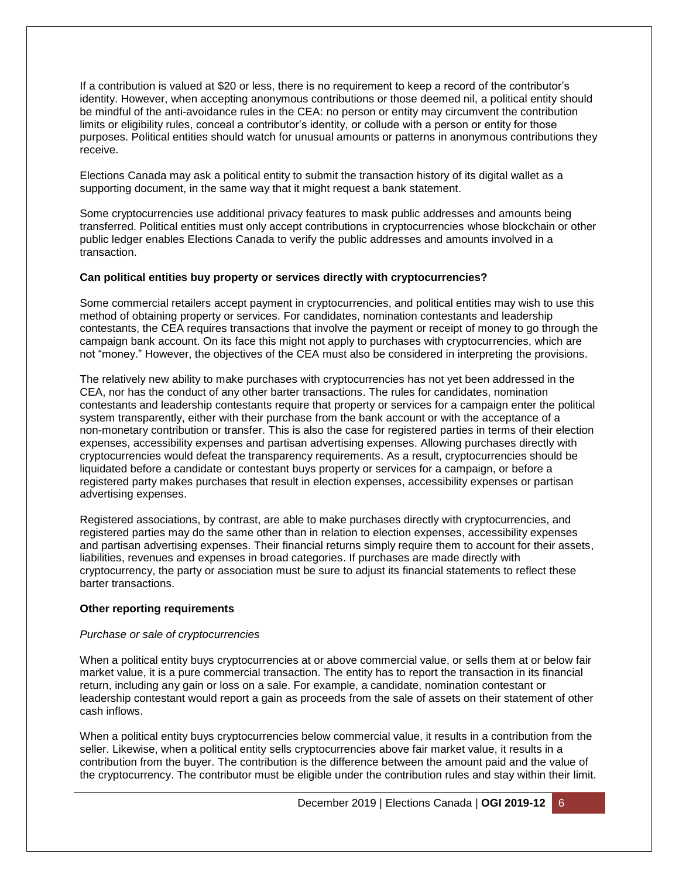If a contribution is valued at \$20 or less, there is no requirement to keep a record of the contributor's identity. However, when accepting anonymous contributions or those deemed nil, a political entity should be mindful of the anti-avoidance rules in the CEA: no person or entity may circumvent the contribution limits or eligibility rules, conceal a contributor's identity, or collude with a person or entity for those purposes. Political entities should watch for unusual amounts or patterns in anonymous contributions they receive.

Elections Canada may ask a political entity to submit the transaction history of its digital wallet as a supporting document, in the same way that it might request a bank statement.

Some cryptocurrencies use additional privacy features to mask public addresses and amounts being transferred. Political entities must only accept contributions in cryptocurrencies whose blockchain or other public ledger enables Elections Canada to verify the public addresses and amounts involved in a transaction.

## **Can political entities buy property or services directly with cryptocurrencies?**

Some commercial retailers accept payment in cryptocurrencies, and political entities may wish to use this method of obtaining property or services. For candidates, nomination contestants and leadership contestants, the CEA requires transactions that involve the payment or receipt of money to go through the campaign bank account. On its face this might not apply to purchases with cryptocurrencies, which are not "money." However, the objectives of the CEA must also be considered in interpreting the provisions.

The relatively new ability to make purchases with cryptocurrencies has not yet been addressed in the CEA, nor has the conduct of any other barter transactions. The rules for candidates, nomination contestants and leadership contestants require that property or services for a campaign enter the political system transparently, either with their purchase from the bank account or with the acceptance of a non-monetary contribution or transfer. This is also the case for registered parties in terms of their election expenses, accessibility expenses and partisan advertising expenses. Allowing purchases directly with cryptocurrencies would defeat the transparency requirements. As a result, cryptocurrencies should be liquidated before a candidate or contestant buys property or services for a campaign, or before a registered party makes purchases that result in election expenses, accessibility expenses or partisan advertising expenses.

Registered associations, by contrast, are able to make purchases directly with cryptocurrencies, and registered parties may do the same other than in relation to election expenses, accessibility expenses and partisan advertising expenses. Their financial returns simply require them to account for their assets, liabilities, revenues and expenses in broad categories. If purchases are made directly with cryptocurrency, the party or association must be sure to adjust its financial statements to reflect these barter transactions.

#### **Other reporting requirements**

#### *Purchase or sale of cryptocurrencies*

When a political entity buys cryptocurrencies at or above commercial value, or sells them at or below fair market value, it is a pure commercial transaction. The entity has to report the transaction in its financial return, including any gain or loss on a sale. For example, a candidate, nomination contestant or leadership contestant would report a gain as proceeds from the sale of assets on their statement of other cash inflows.

When a political entity buys cryptocurrencies below commercial value, it results in a contribution from the seller. Likewise, when a political entity sells cryptocurrencies above fair market value, it results in a contribution from the buyer. The contribution is the difference between the amount paid and the value of the cryptocurrency. The contributor must be eligible under the contribution rules and stay within their limit.